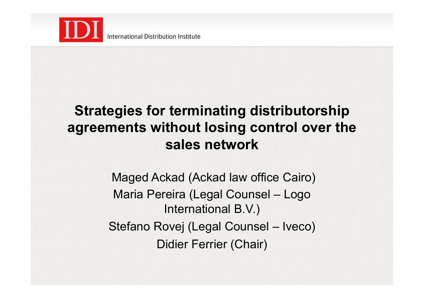

### **Strategies for terminating distributorship agreements without losing control over the sales network**

 Maged Ackad (Ackad law office Cairo) Maria Pereira (Legal Counsel – Logo International B.V.) Stefano Rovej (Legal Counsel – Iveco) Didier Ferrier (Chair)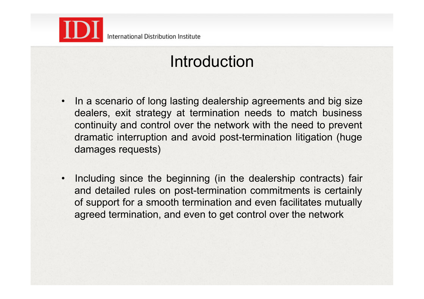

## Introduction

- In a scenario of long lasting dealership agreements and big size dealers, exit strategy at termination needs to match business continuity and control over the network with the need to prevent dramatic interruption and avoid post-termination litigation (huge damages requests)
- Including since the beginning (in the dealership contracts) fair and detailed rules on post-termination commitments is certainly of support for a smooth termination and even facilitates mutually agreed termination, and even to get control over the network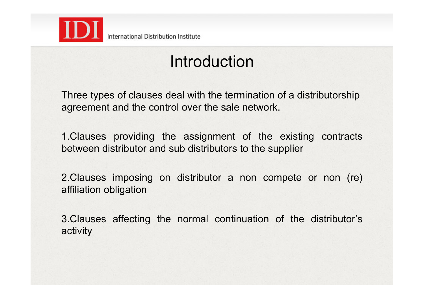

## Introduction

Three types of clauses deal with the termination of a distributorship agreement and the control over the sale network.

1.Clauses providing the assignment of the existing contracts between distributor and sub distributors to the supplier

2.Clauses imposing on distributor a non compete or non (re) affiliation obligation

3.Clauses affecting the normal continuation of the distributor's activity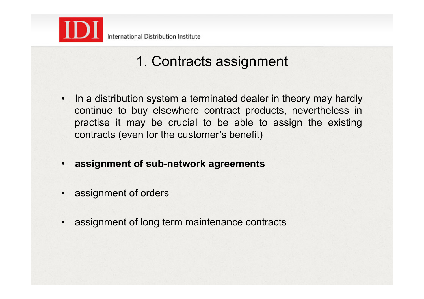

### 1. Contracts assignment

- In a distribution system a terminated dealer in theory may hardly continue to buy elsewhere contract products, nevertheless in practise it may be crucial to be able to assign the existing contracts (even for the customer's benefit)
- **assignment of sub-network agreements**
- assignment of orders
- assignment of long term maintenance contracts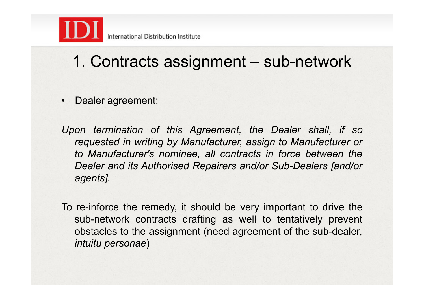

## 1. Contracts assignment – sub-network

• Dealer agreement:

*Upon termination of this Agreement, the Dealer shall, if so requested in writing by Manufacturer, assign to Manufacturer or to Manufacturer's nominee, all contracts in force between the Dealer and its Authorised Repairers and/or Sub-Dealers [and/or agents].* 

To re-inforce the remedy, it should be very important to drive the sub-network contracts drafting as well to tentatively prevent obstacles to the assignment (need agreement of the sub-dealer, *intuitu personae*)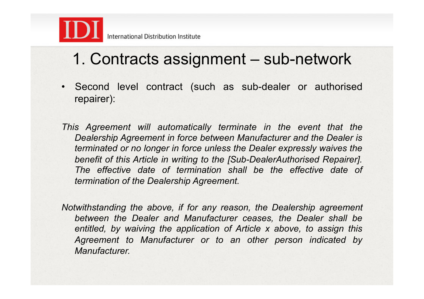

## 1. Contracts assignment – sub-network

• Second level contract (such as sub-dealer or authorised repairer):

*This Agreement will automatically terminate in the event that the Dealership Agreement in force between Manufacturer and the Dealer is terminated or no longer in force unless the Dealer expressly waives the benefit of this Article in writing to the [Sub-DealerAuthorised Repairer].*  The effective date of termination shall be the effective date of *termination of the Dealership Agreement.* 

*Notwithstanding the above, if for any reason, the Dealership agreement between the Dealer and Manufacturer ceases, the Dealer shall be entitled, by waiving the application of Article x above, to assign this Agreement to Manufacturer or to an other person indicated by Manufacturer.*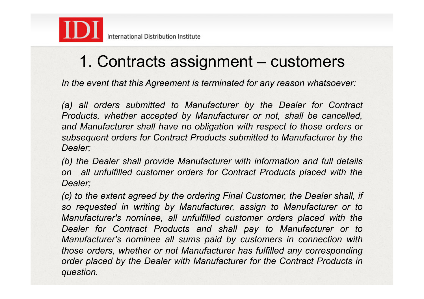

## 1. Contracts assignment – customers

*In the event that this Agreement is terminated for any reason whatsoever:* 

*(a) all orders submitted to Manufacturer by the Dealer for Contract Products, whether accepted by Manufacturer or not, shall be cancelled,*  and Manufacturer shall have no obligation with respect to those orders or *subsequent orders for Contract Products submitted to Manufacturer by the Dealer;* 

*(b) the Dealer shall provide Manufacturer with information and full details on all unfulfilled customer orders for Contract Products placed with the Dealer;* 

*(c) to the extent agreed by the ordering Final Customer, the Dealer shall, if so requested in writing by Manufacturer, assign to Manufacturer or to Manufacturer's nominee, all unfulfilled customer orders placed with the Dealer for Contract Products and shall pay to Manufacturer or to Manufacturer's nominee all sums paid by customers in connection with those orders, whether or not Manufacturer has fulfilled any corresponding order placed by the Dealer with Manufacturer for the Contract Products in question.*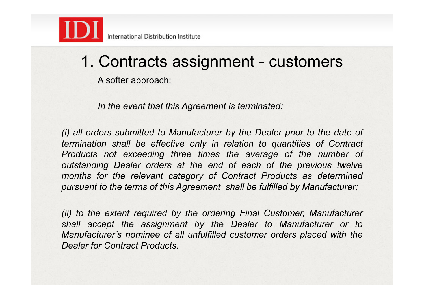

1. Contracts assignment - customers

A softer approach:

*In the event that this Agreement is terminated:* 

*(i) all orders submitted to Manufacturer by the Dealer prior to the date of termination shall be effective only in relation to quantities of Contract Products not exceeding three times the average of the number of outstanding Dealer orders at the end of each of the previous twelve months for the relevant category of Contract Products as determined pursuant to the terms of this Agreement shall be fulfilled by Manufacturer;* 

*(ii) to the extent required by the ordering Final Customer, Manufacturer shall accept the assignment by the Dealer to Manufacturer or to Manufacturer's nominee of all unfulfilled customer orders placed with the Dealer for Contract Products.*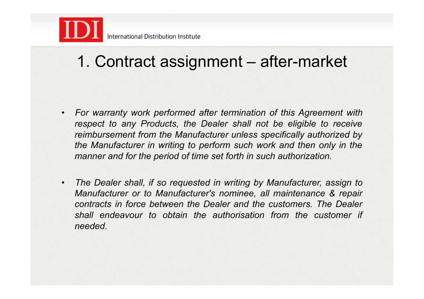

## 1. Contract assignment – after-market

- *For warranty work performed after termination of this Agreement with respect to any Products, the Dealer shall not be eligible to receive reimbursement from the Manufacturer unless specifically authorized by the Manufacturer in writing to perform such work and then only in the manner and for the period of time set forth in such authorization.*
- *The Dealer shall, if so requested in writing by Manufacturer, assign to Manufacturer or to Manufacturer's nominee, all maintenance & repair contracts in force between the Dealer and the customers. The Dealer shall endeavour to obtain the authorisation from the customer if needed.*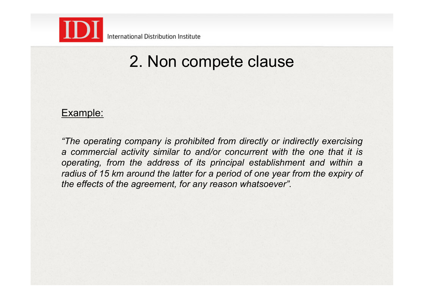

### 2. Non compete clause

### Example:

*"The operating company is prohibited from directly or indirectly exercising a commercial activity similar to and/or concurrent with the one that it is operating, from the address of its principal establishment and within a radius of 15 km around the latter for a period of one year from the expiry of the effects of the agreement, for any reason whatsoever".*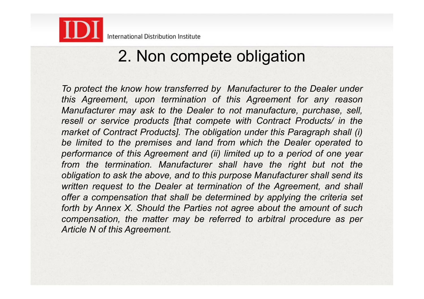

### 2. Non compete obligation

*To protect the know how transferred by Manufacturer to the Dealer under this Agreement, upon termination of this Agreement for any reason Manufacturer may ask to the Dealer to not manufacture, purchase, sell, resell or service products [that compete with Contract Products/ in the market of Contract Products]. The obligation under this Paragraph shall (i) be limited to the premises and land from which the Dealer operated to performance of this Agreement and (ii) limited up to a period of one year*  from the termination. Manufacturer shall have the right but not the *obligation to ask the above, and to this purpose Manufacturer shall send its written request to the Dealer at termination of the Agreement, and shall offer a compensation that shall be determined by applying the criteria set forth by Annex X. Should the Parties not agree about the amount of such compensation, the matter may be referred to arbitral procedure as per Article N of this Agreement.*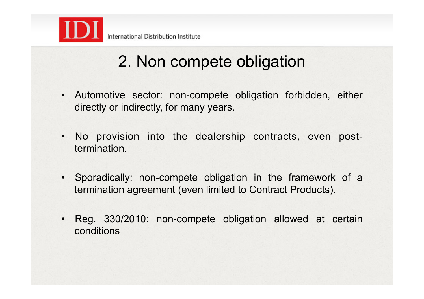

## 2. Non compete obligation

- Automotive sector: non-compete obligation forbidden, either directly or indirectly, for many years.
- No provision into the dealership contracts, even posttermination.
- Sporadically: non-compete obligation in the framework of a termination agreement (even limited to Contract Products).
- Reg. 330/2010: non-compete obligation allowed at certain conditions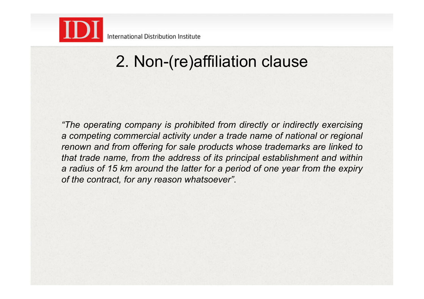

## 2. Non-(re)affiliation clause

*"The operating company is prohibited from directly or indirectly exercising a competing commercial activity under a trade name of national or regional renown and from offering for sale products whose trademarks are linked to that trade name, from the address of its principal establishment and within a radius of 15 km around the latter for a period of one year from the expiry of the contract, for any reason whatsoever"*.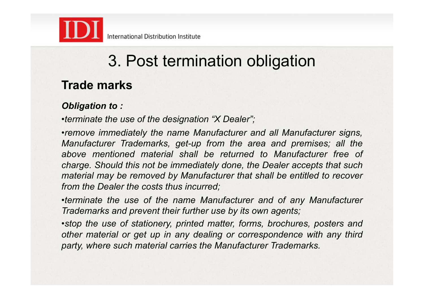

### **Trade marks**

### *Obligation to :*

•*terminate the use of the designation "X Dealer";* 

•*remove immediately the name Manufacturer and all Manufacturer signs, Manufacturer Trademarks, get-up from the area and premises; all the above mentioned material shall be returned to Manufacturer free of charge. Should this not be immediately done, the Dealer accepts that such material may be removed by Manufacturer that shall be entitled to recover from the Dealer the costs thus incurred;* 

•*terminate the use of the name Manufacturer and of any Manufacturer Trademarks and prevent their further use by its own agents;* 

•*stop the use of stationery, printed matter, forms, brochures, posters and other material or get up in any dealing or correspondence with any third party, where such material carries the Manufacturer Trademarks.*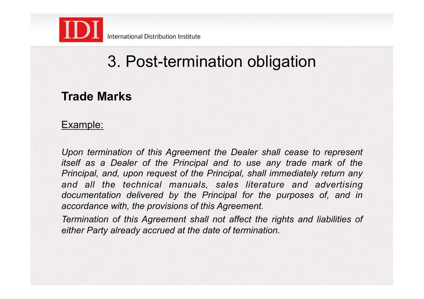

### **Trade Marks**

### Example:

*Upon termination of this Agreement the Dealer shall cease to represent itself as a Dealer of the Principal and to use any trade mark of the Principal, and, upon request of the Principal, shall immediately return any*  and all the technical manuals, sales literature and advertising *documentation delivered by the Principal for the purposes of, and in accordance with, the provisions of this Agreement.* 

*Termination of this Agreement shall not affect the rights and liabilities of either Party already accrued at the date of termination.*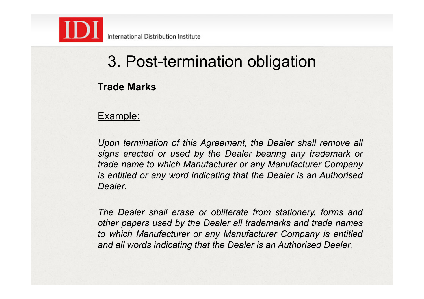

### **Trade Marks**

### Example:

*Upon termination of this Agreement, the Dealer shall remove all signs erected or used by the Dealer bearing any trademark or trade name to which Manufacturer or any Manufacturer Company is entitled or any word indicating that the Dealer is an Authorised Dealer.* 

*The Dealer shall erase or obliterate from stationery, forms and other papers used by the Dealer all trademarks and trade names to which Manufacturer or any Manufacturer Company is entitled and all words indicating that the Dealer is an Authorised Dealer.*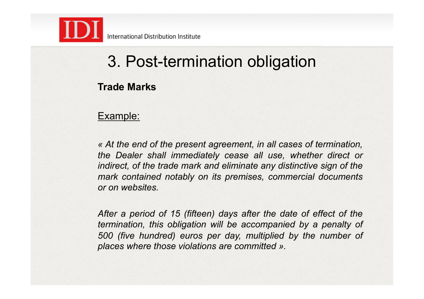

### **Trade Marks**

### Example:

*« At the end of the present agreement, in all cases of termination, the Dealer shall immediately cease all use, whether direct or indirect, of the trade mark and eliminate any distinctive sign of the mark contained notably on its premises, commercial documents or on websites.* 

*After a period of 15 (fifteen) days after the date of effect of the termination, this obligation will be accompanied by a penalty of 500 (five hundred) euros per day, multiplied by the number of places where those violations are committed ».*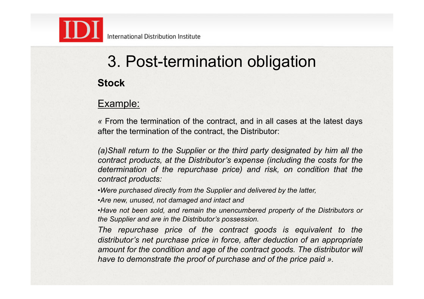

# **Stock**  3. Post-termination obligation

### Example:

*«* From the termination of the contract, and in all cases at the latest days after the termination of the contract, the Distributor:

*(a)Shall return to the Supplier or the third party designated by him all the contract products, at the Distributor's expense (including the costs for the*  determination of the repurchase price) and risk, on condition that the *contract products:* 

•*Were purchased directly from the Supplier and delivered by the latter,* 

•*Are new, unused, not damaged and intact and* 

•*Have not been sold, and remain the unencumbered property of the Distributors or the Supplier and are in the Distributor's possession.* 

The repurchase price of the contract goods is equivalent to the *distributor's net purchase price in force, after deduction of an appropriate amount for the condition and age of the contract goods. The distributor will have to demonstrate the proof of purchase and of the price paid ».*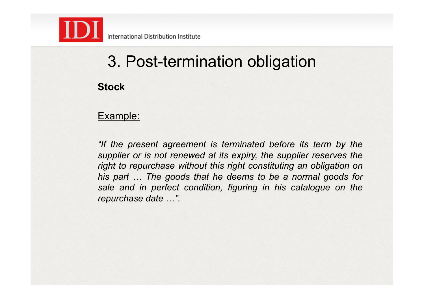

**Stock** 

#### Example:

*"If the present agreement is terminated before its term by the supplier or is not renewed at its expiry, the supplier reserves the right to repurchase without this right constituting an obligation on his part … The goods that he deems to be a normal goods for sale and in perfect condition, figuring in his catalogue on the repurchase date …".*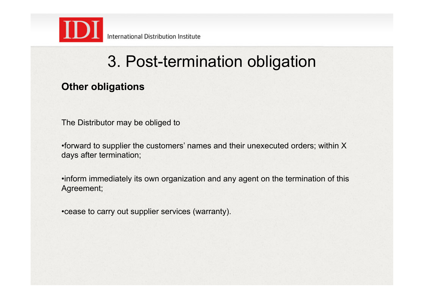

### **Other obligations**

The Distributor may be obliged to

•forward to supplier the customers' names and their unexecuted orders; within X days after termination;

•inform immediately its own organization and any agent on the termination of this Agreement;

•cease to carry out supplier services (warranty).